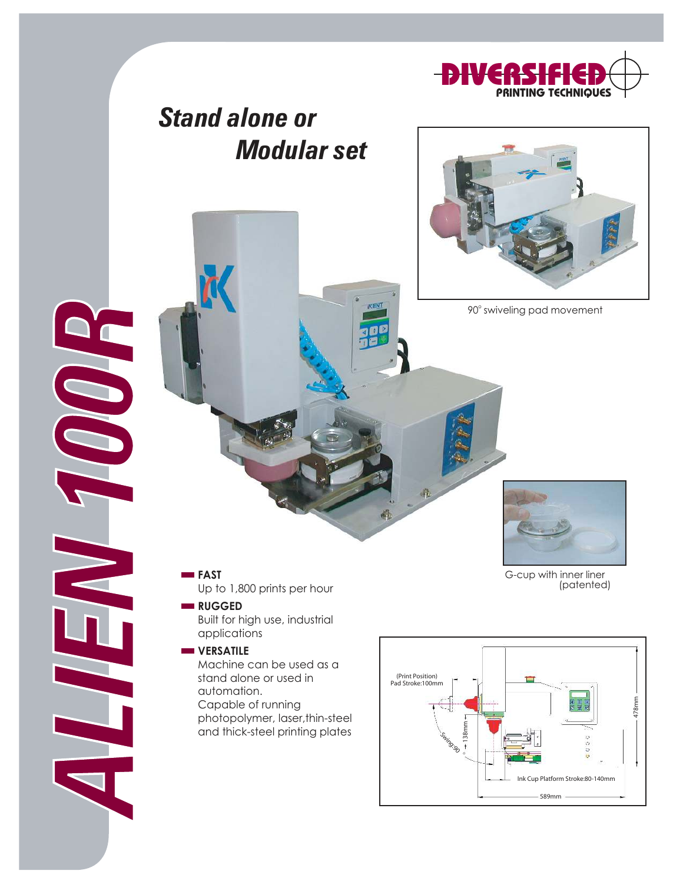

## Stand alone or Modular set



90° swiveling pad movement



ALIEN 100

**QC** 

Up to 1,800 prints per hour

### **RUGGED**

Built for high use, industrial applications

#### **VERSATILE**

Machine can be used as a stand alone or used in automation. Capable of running photopolymer, laser,thin-steel and thick-steel printing plates

G-cup with inner liner (patented)